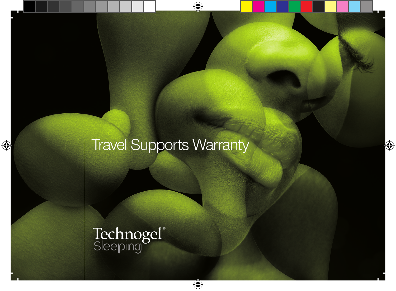# Travel Supports Warranty

Technogel®<br>Sleeping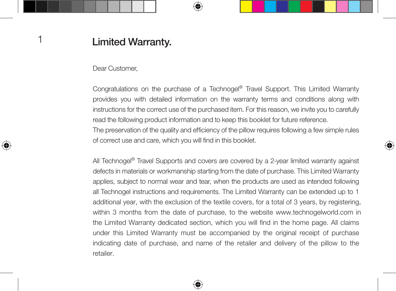### **Limited Warranty.**

Dear Customer,

Congratulations on the purchase of a Technogel® Travel Support. This Limited Warranty provides you with detailed information on the warranty terms and conditions along with instructions for the correct use of the purchased item. For this reason, we invite you to carefully read the following product information and to keep this booklet for future reference.

The preservation of the quality and efficiency of the pillow requires following a few simple rules of correct use and care, which you will find in this booklet.

All Technogel<sup>®</sup> Travel Supports and covers are covered by a 2-year limited warranty against defects in materials or workmanship starting from the date of purchase. This Limited Warranty applies, subject to normal wear and tear, when the products are used as intended following all Technogel instructions and requirements. The Limited Warranty can be extended up to 1 additional year, with the exclusion of the textile covers, for a total of 3 years, by registering, within 3 months from the date of purchase, to the website www.technogelworld.com in the Limited Warranty dedicated section, which you will find in the home page. All claims under this Limited Warranty must be accompanied by the original receipt of purchase indicating date of purchase, and name of the retailer and delivery of the pillow to the retailer.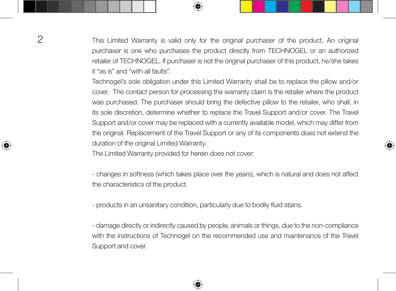This Limited Warranty is valid only for the original purchaser of the product. An original purchaser is one who purchases the product directly from TECHNOGEL or an authorized retailer of TECHNOGEL. If purchaser is not the original purchaser of this product, he/she takes it "as is" and "with all faults".

Technogel's sole obligation under this Limited Warranty shall be to replace the pillow and/or cover. The contact person for processing the warranty claim is the retailer where the product was purchased. The purchaser should bring the defective pillow to the retailer, who shall, in its sole discretion, determine whether to replace the Travel Support and/or cover. The Travel Support and/or cover may be replaced with a currently available model, which may differ from the original. Replacement of the Travel Support or any of its components does not extend the duration of the original Limited Warranty.

The Limited Warranty provided for herein does not cover:

- changes in softness (which takes place over the years), which is natural and does not affect the characteristics of the product.

- products in an unsanitary condition, particularly due to bodily fluid stains.

- damage directly or indirectly caused by people, animals or things, due to the non-compliance with the instructions of Technogel on the recommended use and maintenance of the Travel Support and cover.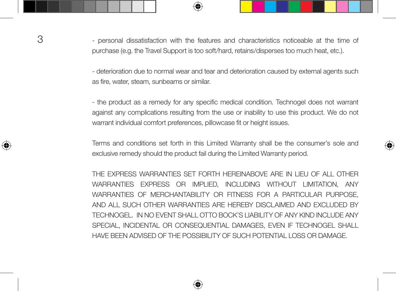3 - personal dissatisfaction with the features and characteristics noticeable at the time of purchase (e.g. the Travel Support is too soft/hard, retains/disperses too much heat, etc.).

> - deterioration due to normal wear and tear and deterioration caused by external agents such as fire, water, steam, sunbeams or similar.

> - the product as a remedy for any specific medical condition. Technogel does not warrant against any complications resulting from the use or inability to use this product. We do not warrant individual comfort preferences, pillowcase fit or height issues.

> Terms and conditions set forth in this Limited Warranty shall be the consumer's sole and exclusive remedy should the product fail during the Limited Warranty period.

> THE EXPRESS WARRANTIES SET FORTH HEREINABOVE ARE IN LIEU OF ALL OTHER WARRANTIES EXPRESS OR IMPLIED, INCLUDING WITHOUT LIMITATION, ANY WARRANTIES OF MERCHANTABILITY OR FITNESS FOR A PARTICULAR PURPOSE, AND ALL SUCH OTHER WARRANTIES ARE HEREBY DISCLAIMED AND EXCLUDED BY TECHNOGEL. IN NO EVENT SHALL OTTO BOCK'S LIABILITY OF ANY KIND INCLUDE ANY SPECIAL, INCIDENTAL OR CONSEQUENTIAL DAMAGES, EVEN IF TECHNOGEL SHALL HAVE BEEN ADVISED OF THE POSSIBILITY OF SUCH POTENTIAL LOSS OR DAMAGE.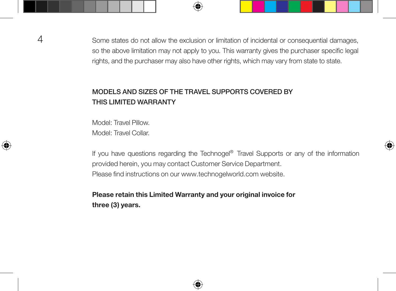Some states do not allow the exclusion or limitation of incidental or consequential damages, so the above limitation may not apply to you. This warranty gives the purchaser specific legal rights, and the purchaser may also have other rights, which may vary from state to state.

#### MODELS AND SIZES OF THE TRAVEL SUPPORTS COVERED BY THIS LIMITED WARRANTY

Model: Travel Pillow. Model: Travel Collar.

If you have questions regarding the Technogel® Travel Supports or any of the information provided herein, you may contact Customer Service Department. Please find instructions on our www.technogelworld.com website.

#### **Please retain this Limited Warranty and your original invoice for three (3) years.**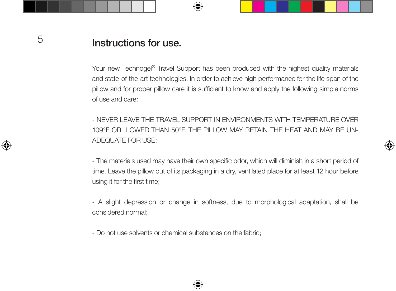## Instructions for use.

Your new Technogel<sup>®</sup> Travel Support has been produced with the highest quality materials and state-of-the-art technologies. In order to achieve high performance for the life span of the pillow and for proper pillow care it is sufficient to know and apply the following simple norms of use and care:

- NEVER LEAVE THE TRAVEL SUPPORT IN ENVIRONMENTS WITH TEMPERATURE OVER 109°F OR LOWER THAN 50°F. THE PILLOW MAY RETAIN THE HEAT AND MAY BE UN-ADEQUATE FOR USE;

- The materials used may have their own specific odor, which will diminish in a short period of time. Leave the pillow out of its packaging in a dry, ventilated place for at least 12 hour before using it for the first time;

- A slight depression or change in softness, due to morphological adaptation, shall be considered normal;

- Do not use solvents or chemical substances on the fabric;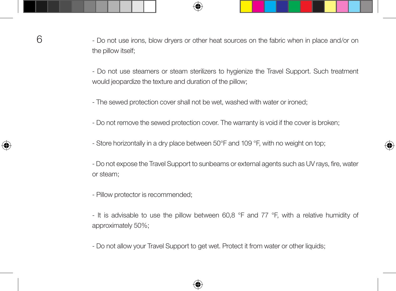- Do not use irons, blow dryers or other heat sources on the fabric when in place and/or on the pillow itself;

- Do not use steamers or steam sterilizers to hygienize the Travel Support. Such treatment would jeopardize the texture and duration of the pillow;

- The sewed protection cover shall not be wet, washed with water or ironed;

- Do not remove the sewed protection cover. The warranty is void if the cover is broken;

- Store horizontally in a dry place between 50°F and 109 °F, with no weight on top;

- Do not expose the Travel Support to sunbeams or external agents such as UV rays, fire, water or steam;

- Pillow protector is recommended;

- It is advisable to use the pillow between 60,8 °F and 77 °F, with a relative humidity of approximately 50%;

- Do not allow your Travel Support to get wet. Protect it from water or other liquids;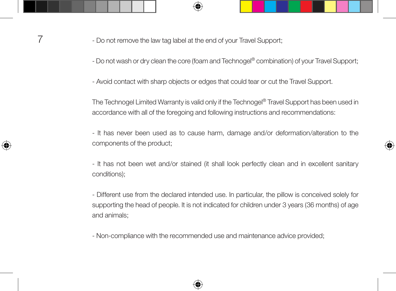7 - Do not remove the law tag label at the end of your Travel Support;

- Do not wash or dry clean the core (foam and Technogel® combination) of your Travel Support;

- Avoid contact with sharp objects or edges that could tear or cut the Travel Support.

The Technogel Limited Warranty is valid only if the Technogel® Travel Support has been used in accordance with all of the foregoing and following instructions and recommendations:

- It has never been used as to cause harm, damage and/or deformation/alteration to the components of the product;

- It has not been wet and/or stained (it shall look perfectly clean and in excellent sanitary conditions);

- Different use from the declared intended use. In particular, the pillow is conceived solely for supporting the head of people. It is not indicated for children under 3 years (36 months) of age and animals;

- Non-compliance with the recommended use and maintenance advice provided;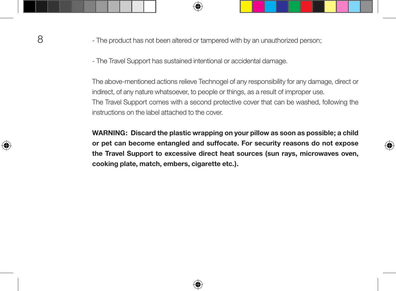- The product has not been altered or tampered with by an unauthorized person;

- The Travel Support has sustained intentional or accidental damage.

The above-mentioned actions relieve Technogel of any responsibility for any damage, direct or indirect, of any nature whatsoever, to people or things, as a result of improper use. The Travel Support comes with a second protective cover that can be washed, following the instructions on the label attached to the cover.

**WARNING: Discard the plastic wrapping on your pillow as soon as possible; a child or pet can become entangled and suffocate. For security reasons do not expose the Travel Support to excessive direct heat sources (sun rays, microwaves oven, cooking plate, match, embers, cigarette etc.).**